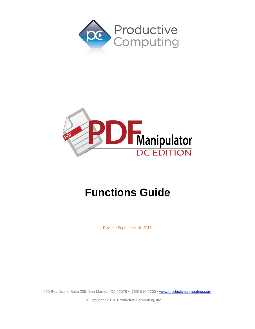



# **Functions Guide**

Revised September 19, 2018

950 Boardwalk, Suite 205, San Marcos, CA 92078 · (760) 510-1200 · [www.productivecomputing.com](http://www.productivecomputing.com/)

© Copyright 2018 Productive Computing, Inc.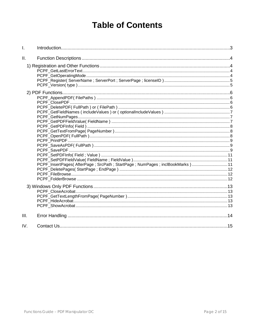# **Table of Contents**

| I.   |                                                                             |  |
|------|-----------------------------------------------------------------------------|--|
| Ш.   |                                                                             |  |
|      |                                                                             |  |
|      |                                                                             |  |
|      | PCPF_InsertPages(AfterPage; SrcPath; StartPage; NumPages; inclBookMarks) 11 |  |
|      |                                                                             |  |
| III. |                                                                             |  |
| IV.  |                                                                             |  |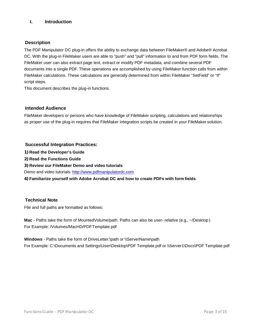# <span id="page-2-0"></span>**I. Introduction**

## **Description**

The PDF Manipulator DC plug-in offers the ability to exchange data between FileMaker® and Adobe® Acrobat DC. With the plug-in FileMaker users are able to "push" and "pull" information to and from PDF form fields. The FileMaker user can also extract page text, extract or modify PDF metadata, and combine several PDF documents into a single PDF. These operations are accomplished by using FileMaker function calls from within FileMaker calculations. These calculations are generally determined from within FileMaker "SetField" or "If" script steps.

This document describes the plug-in functions.

# **Intended Audience**

FileMaker developers or persons who have knowledge of FileMaker scripting, calculations and relationships as proper use of the plug-in requires that FileMaker integration scripts be created in your FileMaker solution.

#### **Successful Integration Practices:**

**1) Read the Developer's Guide**

**2) Read the Functions Guide**

**3) Review our FileMaker Demo and video tutorials**

Demo and video tutorials: [http://www.pdfmanipulatordc.com](http://www.pdfmanipulatordc.com/)

**4) Familiarize yourself with Adobe Acrobat DC and how to create PDFs with form fields**

# **Technical Note**

File and full paths are formatted as follows:

**Mac** - Paths take the form of MountedVolume/path. Paths can also be user- relative (e.g., ~/Desktop ) For Example: /Volumes/MacHD/PDFTemplate.pdf

**Windows** - Paths take the form of DriveLetter:\path or \\ServerName\path For Example: C:\Documents and Settings\User\Desktop\PDF Template.pdf or \\Server1\Docs\PDF Template.pdf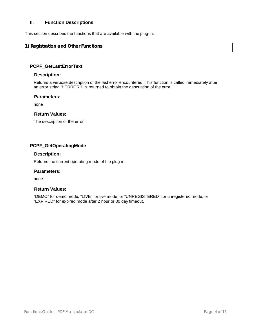## <span id="page-3-0"></span>**II. Function Descriptions**

This section describes the functions that are available with the plug-in.

# <span id="page-3-1"></span>**1) Registration and Other Functions**

#### <span id="page-3-2"></span>**PCPF\_GetLastErrorText**

#### **Description:**

Returns a verbose description of the last error encountered. This function is called immediately after an error string "!!ERROR!!" is returned to obtain the description of the error.

#### **Parameters:**

none

#### **Return Values:**

The description of the error

#### <span id="page-3-3"></span>**PCPF\_GetOperatingMode**

#### **Description:**

Returns the current operating mode of the plug-in.

#### **Parameters:**

none

#### **Return Values:**

"DEMO" for demo mode, "LIVE" for live mode, or "UNREGISTERED" for unregistered mode, or "EXPIRED" for expired mode after 2 hour or 30 day timeout.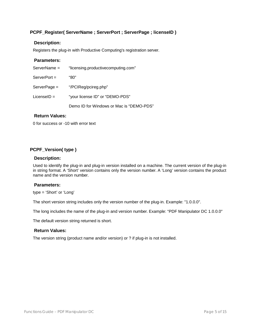# <span id="page-4-0"></span>**PCPF\_Register( ServerName ; ServerPort ; ServerPage ; licenseID )**

#### **Description:**

Registers the plug-in with Productive Computing's registration server.

#### **Parameters:**

| ServerName =   | "licensing.productivecomputing.com"      |
|----------------|------------------------------------------|
| $ServerPort =$ | "80"                                     |
| ServerPage =   | "/PCIReg/pcireg.php"                     |
| $LicenselD =$  | "your license ID" or "DEMO-PDS"          |
|                | Demo ID for Windows or Mac is "DEMO-PDS" |

## **Return Values:**

0 for success or -10 with error text

# <span id="page-4-1"></span>**PCPF\_Version( type )**

#### **Description:**

Used to identify the plug-in and plug-in version installed on a machine. The current version of the plug-in in string format. A 'Short' version contains only the version number. A 'Long' version contains the product name and the version number.

## **Parameters:**

type = 'Short' or 'Long'

The short version string includes only the version number of the plug-in. Example: "1.0.0.0".

The long includes the name of the plug-in and version number. Example: "PDF Manipulator DC 1.0.0.0"

The default version string returned is short.

#### **Return Values:**

The version string (product name and/or version) or ? if plug-in is not installed.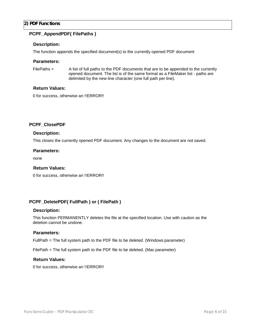# <span id="page-5-1"></span><span id="page-5-0"></span>**PCPF\_AppendPDF( FilePaths )**

## **Description:**

The function appends the specified document(s) to the currently opened PDF document

#### **Parameters:**

FilePaths = A list of full paths to the PDF documents that are to be appended to the currently opened document. The list is of the same format as a FileMaker list - paths are delimited by the new line character (one full path per line).

#### **Return Values:**

0 for success, otherwise an !!ERROR!!

# <span id="page-5-2"></span>**PCPF\_ClosePDF**

#### **Description:**

This closes the currently opened PDF document. Any changes to the document are not saved.

#### **Parameters:**

none

#### **Return Values:**

0 for success, otherwise an !!ERROR!!

#### <span id="page-5-3"></span>**PCPF\_DeletePDF( FullPath ) or ( FilePath )**

#### **Description:**

This function PERMANENTLY deletes the file at the specified location. Use with caution as the deletion cannot be undone.

#### **Parameters:**

FullPath = The full system path to the PDF file to be deleted. (Windows parameter)

FilePath = The full system path to the PDF file to be deleted. (Mac parameter)

#### **Return Values:**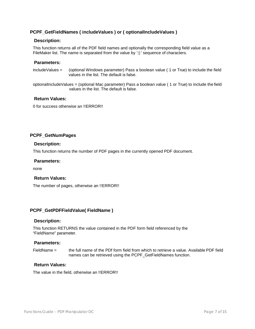# <span id="page-6-0"></span>**PCPF\_GetFieldNames ( includeValues ) or ( optionalIncludeValues )**

#### **Description:**

This function returns all of the PDF field names and optionally the corresponding field value as a FileMaker list. The name is separated from the value by ':|:' sequence of characters.

#### **Parameters:**

includeValues = (optional Windows parameter) Pass a boolean value ( 1 or True) to include the field values in the list. The default is false.

optionalIncludeValues = (optional Mac parameter) Pass a boolean value ( 1 or True) to include the field values in the list. The default is false.

# **Return Values:**

0 for success otherwise an !!ERROR!!

#### <span id="page-6-1"></span>**PCPF\_GetNumPages**

#### **Description:**

This function returns the number of PDF pages in the currently opened PDF document.

#### **Parameters:**

none

#### **Return Values:**

The number of pages, otherwise an !!ERROR!!

#### <span id="page-6-2"></span>**PCPF\_GetPDFFieldValue( FieldName )**

#### **Description:**

This function RETURNS the value contained in the PDF form field referenced by the "FieldName" parameter.

#### **Parameters:**

FieldName = the full name of the PDf form field from which to retrieve a value. Available PDF field names can be retrieved using the PCPF\_GetFieldNames function.

#### **Return Values:**

The value in the field, otherwise an !!ERROR!!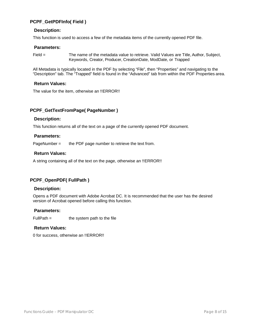# <span id="page-7-0"></span>**PCPF\_GetPDFInfo( Field )**

#### **Description:**

This function is used to access a few of the metadata items of the currently opened PDF file.

#### **Parameters:**

Field = The name of the metadata value to retrieve. Valid Values are Title, Author, Subject, Keywords, Creator, Producer, CreationDate, ModDate, or Trapped

All Metadata is typically located in the PDF by selecting "File", then "Properties" and navigating to the "Description" tab. The "Trapped" field is found in the "Advanced" tab from within the PDF Properties area.

#### **Return Values:**

The value for the item, otherwise an !!ERROR!!

#### <span id="page-7-1"></span>**PCPF\_GetTextFromPage( PageNumber )**

#### **Description:**

This function returns all of the text on a page of the currently opened PDF document.

#### **Parameters:**

PageNumber = the PDF page number to retrieve the text from.

# **Return Values:**

A string containing all of the text on the page, otherwise an !!ERROR!!

# <span id="page-7-2"></span>**PCPF\_OpenPDF( FullPath )**

#### **Description:**

Opens a PDF document with Adobe Acrobat DC. It is recommended that the user has the desired version of Acrobat opened before calling this function.

#### **Parameters:**

 $FullPath =$  the system path to the file

#### **Return Values:**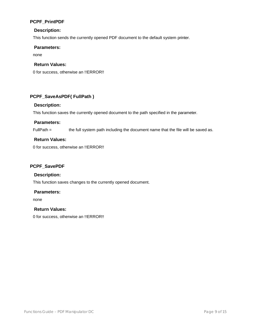# <span id="page-8-0"></span>**PCPF\_PrintPDF**

# **Description:**

This function sends the currently opened PDF document to the default system printer.

#### **Parameters:**

none

# **Return Values:**

0 for success, otherwise an !!ERROR!!

# <span id="page-8-1"></span>**PCPF\_SaveAsPDF( FullPath )**

#### **Description:**

This function saves the currently opened document to the path specified in the parameter.

#### **Parameters:**

FullPath = the full system path including the document name that the file will be saved as.

# **Return Values:**

0 for success, otherwise an !!ERROR!!

## <span id="page-8-2"></span>**PCPF\_SavePDF**

## **Description:**

This function saves changes to the currently opened document.

#### **Parameters:**

none

# **Return Values:**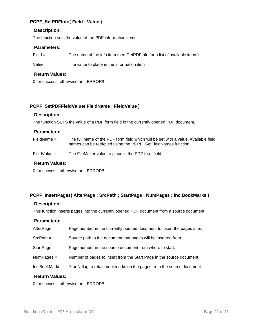# <span id="page-9-0"></span>**PCPF\_SetPDFInfo( Field ; Value )**

#### **Description:**

The function sets the value of the PDF information items.

#### **Parameters:**

Field = The name of the info item (see GetPDFInfo for a list of available items)

Value = The value to place in the information item

## **Return Values:**

0 for success, otherwise an !!ERROR!!

# <span id="page-9-1"></span>**PCPF\_SetPDFFieldValue( FieldName ; FieldValue )**

#### **Description:**

The function SETS the value of a PDF form field in the currently opened PDF document.

#### **Parameters:**

FieldName = The full name of the PDF form field which will be set with a value. Available field names can be retrieved using the PCPF\_GetFieldNames function.

FieldValue = The FileMaker value to place in the PDF form field.

#### **Return Values:**

0 for success, otherwise an !!ERROR!!

#### <span id="page-9-2"></span>**PCPF\_InsertPages( AfterPage ; SrcPath ; StartPage ; NumPages ; inclBookMarks )**

#### **Description:**

This function inserts pages into the currently opened PDF document from a source document.

#### **Parameters:**

| Doturn Volugar  |                                                                         |  |  |  |
|-----------------|-------------------------------------------------------------------------|--|--|--|
| InclBookMarks = | Y or N flag to retain bookmarks on the pages from the source document.  |  |  |  |
| $Num Pages =$   | Number of pages to insert from the Start Page in the source document.   |  |  |  |
| $StartPage =$   | Page number in the source document from where to start.                 |  |  |  |
| $SrcPath =$     | Source path to the document that pages will be inserted from.           |  |  |  |
| $AfterPage =$   | Page number in the currently opened document to insert the pages after. |  |  |  |

# **Return Values:**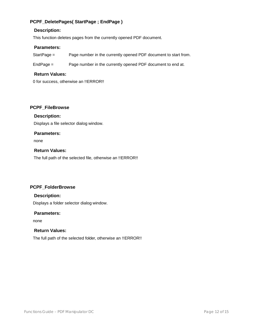# **PCPF\_DeletePages( StartPage ; EndPage )**

# **Description:**

This function deletes pages from the currently opened PDF document.

# **Parameters:**

StartPage = Page number in the currently opened PDF document to start from.

EndPage = Page number in the currently opened PDF document to end at.

# **Return Values:**

0 for success, otherwise an !!ERROR!!

# <span id="page-10-0"></span>**PCPF\_FileBrowse**

# **Description:**

Displays a file selector dialog window.

# **Parameters:**

none

# **Return Values:**

The full path of the selected file, otherwise an !!ERROR!!

# <span id="page-10-1"></span>**PCPF\_FolderBrowse**

# **Description:**

Displays a folder selector dialog window.

#### **Parameters:**

none

# **Return Values:**

The full path of the selected folder, otherwise an !!ERROR!!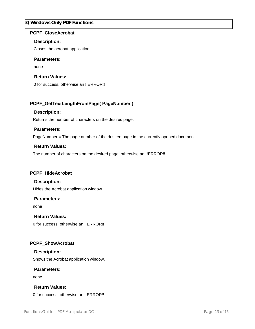## <span id="page-11-0"></span>**3) Windows Only PDF Functions**

#### <span id="page-11-1"></span>**PCPF\_CloseAcrobat**

#### **Description:**

Closes the acrobat application.

#### **Parameters:**

none

#### **Return Values:**

0 for success, otherwise an !!ERROR!!

# <span id="page-11-2"></span>**PCPF\_GetTextLengthFromPage( PageNumber )**

#### **Description:**

Returns the number of characters on the desired page.

#### **Parameters:**

PageNumber = The page number of the desired page in the currently opened document.

#### **Return Values:**

The number of characters on the desired page, otherwise an !!ERROR!!

#### <span id="page-11-3"></span>**PCPF\_HideAcrobat**

#### **Description:**

Hides the Acrobat application window.

#### **Parameters:**

none

#### **Return Values:**

0 for success, otherwise an !!ERROR!!

# <span id="page-11-4"></span>**PCPF\_ShowAcrobat**

#### **Description:**

Shows the Acrobat application window.

#### **Parameters:**

none

#### **Return Values:**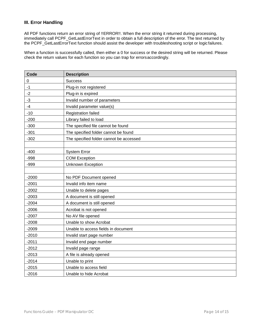# <span id="page-12-0"></span>**III. Error Handling**

All PDF functions return an error string of !!ERROR!!. When the error string it returned during processing, immediately call PCPF\_GetLastErrorText in order to obtain a full description of the error. The text returned by the PCPF\_GetLastErrorText function should assist the developer with troubleshooting script or logic failures.

When a function is successfully called, then either a 0 for success or the desired string will be returned. Please check the return values for each function so you can trap for errorsaccordingly.

| Code    | <b>Description</b>                      |
|---------|-----------------------------------------|
| 0       | <b>Success</b>                          |
| $-1$    | Plug-in not registered                  |
| $-2$    | Plug-in is expired                      |
| $-3$    | Invalid number of parameters            |
| $-4$    | Invalid parameter value(s)              |
| $-10$   | <b>Registration failed</b>              |
| $-200$  | Library failed to load                  |
| $-300$  | The specified file cannot be found      |
| $-301$  | The specified folder cannot be found    |
| $-302$  | The specified folder cannot be accessed |
|         |                                         |
| $-400$  | <b>System Error</b>                     |
| $-998$  | <b>COM Exception</b>                    |
| $-999$  | <b>Unknown Exception</b>                |
|         |                                         |
| $-2000$ | No PDF Document opened                  |
| $-2001$ | Invalid info item name                  |
| $-2002$ | Unable to delete pages                  |
| $-2003$ | A document is still opened              |
| $-2004$ | A document is still opened              |
| $-2006$ | Acrobat is not opened                   |
| $-2007$ | No AV file opened                       |
| $-2008$ | Unable to show Acrobat                  |
| $-2009$ | Unable to access fields in document     |
| $-2010$ | Invalid start page number               |
| $-2011$ | Invalid end page number                 |
| $-2012$ | Invalid page range                      |
| $-2013$ | A file is already opened                |
| $-2014$ | Unable to print                         |
| $-2015$ | Unable to access field                  |
| $-2016$ | Unable to hide Acrobat                  |